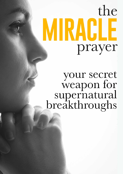# the MRACLE prayer

your secret<br>weapon for<br>supernatural<br>breakthroughs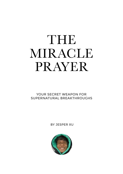# THE MIRACLE PRAYER

YOUR SECRET WEAPON FOR SUPERNATURAL BREAKTHROUGHS

BY JESPER XU

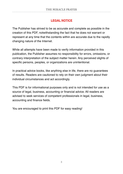#### **LEGAL NOTICE**

The Publisher has strived to be as accurate and complete as possible in the creation of this PDF, notwithstanding the fact that he does not warrant or represent at any time that the contents within are accurate due to the rapidly changing nature of the Internet.

While all attempts have been made to verify information provided in this publication, the Publisher assumes no responsibility for errors, omissions, or contrary interpretation of the subject matter herein. Any perceived slights of specific persons, peoples, or organizations are unintentional.

In practical advice books, like anything else in life, there are no guarantees of results. Readers are cautioned to rely on their own judgment about their individual circumstances and act accordingly.

This PDF is for informational purposes only and is not intended for use as a source of legal, business, accounting or financial advice. All readers are advised to seek services of competent professionals in legal, business, accounting and finance fields.

You are encouraged to print this PDF for easy reading!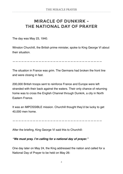#### **MIRACLE OF DUNKIRK - THE NATIONAL DAY OF PRAYER**

The day was May 23, 1940.

Winston Churchill, the British prime minister, spoke to King George VI about their situation.

———————————————————————————————

The situation in France was grim. The Germans had broken the front line and were closing in fast.

200,000 British troops sent to reinforce France and Europe were left stranded with their back against the waters. Their only chance of returning home was to cross the English Channel through Dunkirk, a city in North Eastern France.

It was an IMPOSSIBLE mission. Churchill thought they'd be lucky to get 40,000 men home.

———————————————————————————————

After the briefing, King George VI said this to Churchill:

#### *"We must pray. I'm calling for a national day of prayer."*

One day later on May 24, the King addressed the nation and called for a National Day of Prayer to be held on May 26: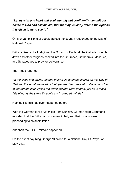*"Let us with one heart and soul, humbly but confidently, commit our cause to God and ask his aid, that we may valiantly defend the right as it is given to us to see it."*

On May 26, millions of people across the country responded to the Day of National Prayer.

British citizens of all religions, the Church of England, the Catholic Church, Jews and other religions packed into the Churches, Cathedrals, Mosques, and Synagogues to pray for deliverance.

The Times reported:

*"In the cities and towns, leaders of civic life attended church on this Day of National Prayer at the head of their people. From peaceful village churches in the remote countryside the same prayers were offered, just as in these fateful hours the same thoughts are in people's minds."* 

Nothing like this has ever happened before.

With the German tanks just miles from Dunkirk, German High Command reported that the British army was encircled, and their troops were proceeding to its annihilation.

And then the FIRST miracle happened.

On the exact day King George VI called for a National Day Of Prayer on May 24…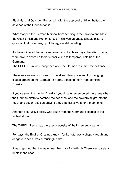Field Marshal Gerd von Rundstedt, with the approval of Hitler, halted the advance of the German tanks.

What stopped the German Marshal from sending in the tanks to annihilate the weak British and French forces? This was an unexplainable bizarre question that historians, up till today, are still debating.

As the engines of the tanks remained shut for three days, the allied troops were able to shore up their defensive line to temporary hold back the Germans.

The SECOND miracle happened after the German resumed their offense.

There was an eruption of rain in the skies. Heavy rain and low-hanging clouds grounded the German Air Force, stopping them from bombing Dunkirk.

If you've seen the movie "Dunkirk," you'd have remembered the scene when the German aircrafts bombed the beaches, and the soldiers all got into the "duck and cover" position praying they'd be still alive after the bombing.

And that destructive ability was taken from the Germans because of the violent storm.

The THIRD miracle was the exact opposite of the inclement weather.

For days, the English Channel, known for its notoriously choppy, rough and dangerous seas, was surprisingly calm.

It was reported that the water was like that of a bathtub. There was barely a ripple in the seas.

6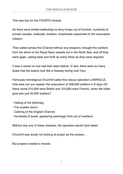This was key for the FOURTH miracle.

As there were limited battleships to ferry troops out of Dunkirk, hundreds of private vessels, rowboats, trawlers, motorboats responded to the evacuation mission.

They sailed across the Channel without any weapons, brought the soldiers from the shore to the Royal Navy vessels out in the North Sea, and off they went again, sailing back and forth as many times as they were required.

It was a scene no one had ever seen before. In fact, there were so many boats that the waters look like a freeway during rush hour.

Famously nonreligious Churchill called this rescue operation a MIRACLE. How else can you explain the evacuation of 338,000 soldiers in 9 days (Of these some 215,000 were British and 123,000 were French), when the initial goal was just 40,000 soldiers?

- Halting of the blitzkrieg.
- The sudden storm.
- Calming of the English Channel.
- Hundreds of boats, appearing seemingly from out of nowhere.

Without any one of these miracles, the operation would have failed.

Churchill was surely not looking at prayer as the answer…

But prayers created a miracle.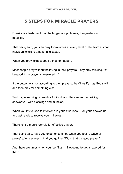#### **5 STEPS FOR MIRACLE PRAYERS**

Dunkirk is a testament that the bigger our problems, the greater our miracles.

That being said, you can pray for miracles at every level of life, from a small individual crisis to a national disaster.

When you pray, expect good things to happen.

Most people pray without believing in their prayers. They pray thinking, "It'll be good if my prayer is answered…"

If the outcome is not according to their prayers, they'll justify it as God's will, and then pray for something else.

Truth is, everything is possible for God, and He is more than willing to shower you with blessings and miracles.

When you invite God to intervene in your situations… roll your sleeves up and get ready to receive your miracles!

There isn't a magic formula for effective prayers.

That being said, have you experience times when you feel "a wave of peace" after a prayer… And you go like, "Wow, that's a good prayer!"

And there are times when you feel "Nah… Not going to get answered for that"

8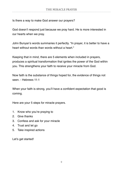Is there a way to make God answer our prayers?

God doesn't respond just because we pray hard. He is more interested in our hearts when we pray.

John Bunyan's words summaries it perfectly. "In prayer, it is better to have a heart without words than words without a heart."

Keeping that in mind, there are 5 elements when included in prayers, produces a spiritual transformation that ignites the power of the God within you. This strengthens your faith to receive your miracle from God.

Now faith is the substance of things hoped for, the evidence of things not seen. - Hebrews 11:1

When your faith is strong, you'll have a confident expectation that good is coming.

Here are your 5 steps for miracle prayers.

- 1. Know who you're praying to
- 2. Give thanks
- 3. Confess and ask for your miracle
- 4. Trust and let go
- 5. Take inspired actions

Let's get started!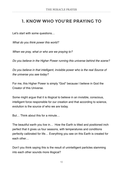#### **1. KNOW WHO YOU'RE PRAYING TO**

Let's start with some questions...

*What do you think power this world?*

*When we pray, what or who are we praying to?*

*Do you believe in the Higher Power running this universe behind the scene?*

*Do you believe in that intelligent, invisible power who is the real Source of the universe you see today?*

For me, this Higher Power is simply "God" because I believe in God the Creator of this Universe.

Some might argue that it is illogical to believe in an invisible, conscious, intelligent force responsible for our creation and that according to science, evolution is the source of who we are today.

But… Think about this for a minute…

The beautiful earth you live in… How the Earth is tilted and positioned inch perfect that it gives us four seasons, with temperatures and conditions perfectly calibrated for life… Everything you see on this Earth is created for each other…

Don't you think saying this is the result of unintelligent particles slamming into each other sounds more illogical?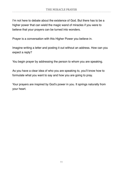I'm not here to debate about the existence of God. But there has to be a higher power that can wield the magic wand of miracles if you were to believe that your prayers can be turned into wonders.

Prayer is a conversation with this Higher Power you believe in.

Imagine writing a letter and posting it out without an address. How can you expect a reply?

You begin prayer by addressing the person to whom you are speaking.

As you have a clear idea of who you are speaking to, you'll know how to formulate what you want to say and how you are going to pray.

Your prayers are inspired by God's power in you. It springs naturally from your heart.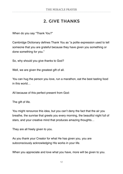#### **2. GIVE THANKS**

When do you say "Thank You?"

Cambridge Dictionary defines Thank You as "a polite expression used to tell someone that you are grateful because they have given you something or done something for you."

So, why should you give thanks to God?

Well, we are given the greatest gift of all.

You can hug the person you love, run a marathon, eat the best tasting food in this world…

All because of this perfect present from God:

The gift of life.

You might renounce this idea, but you can't deny the fact that the air you breathe, the sunrise that greets you every morning, the beautiful night full of stars, and your creative mind that produces amazing thoughts…

They are all freely given to you.

As you thank your Creator for what He has given you, you are subconsciously acknowledging His works in your life.

When you appreciate and love what you have, more will be given to you.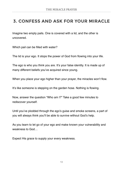### **3. CONFESS AND ASK FOR YOUR MIRACLE**

Imagine two empty pails. One is covered with a lid, and the other is uncovered.

Which pail can be filled with water?

The lid is your ego. It stops the power of God from flowing into your life.

The ego is who you think you are. It's your false identity. It is made up of many different beliefs you've acquired since young.

When you place your ego higher than your prayer, the miracles won't flow.

It's like someone is stepping on the garden hose. Nothing is flowing.

Now, answer the question "Who am I?" Take a good few minutes to rediscover yourself.

Until you've plodded through the ego's guise and smoke screens, a part of you will always think you'll be able to survive without God's help.

As you learn to let go of your ego and make known your vulnerability and weakness to God…

Expect His grace to supply your every weakness.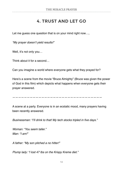#### **4. TRUST AND LET GO**

Let me quess one question that is on your mind right now...,

*"My prayer doesn't yield results!"*

Well, it's not only you...

Think about it for a second…

Can you imagine a world where everyone gets what they prayed for?

Here's a scene from the movie "Bruce Almighty" (Bruce was given the power of God in this film) which depicts what happens when everyone gets their prayer answered.

———————————————————————————————

A scene at a party. Everyone is in an ecstatic mood, many prayers having been recently answered.

*Businessman: "I'll drink to that! My tech stocks tripled in five days."*

*Woman: "You seem taller." Man: "I am!"*

*A father: "My son pitched a no hitter!"*

*Plump lady: "I lost 47 Ibs on the Krispy Kreme diet."*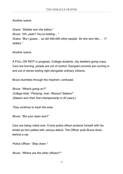Another scene:

*Grace: "Debbie won the lottery." Bruce: "Oh, yeah? You're kidding…" Grace: "But I guess… so did 400,000 other people. So she won like… 17 dollars."*

Another scene:

A FULL ON RIOT in progress. College students, city dwellers going crazy. Cars are burning, people are out of control. Escaped convicts are running in and out of stores looting right alongside ordinary citizens.

Bruce stumbles through the mayhem, confused.

*Bruce: "What's going on?" College Kids: "Partying, man. Woooo!! Sabers!" (Sabers won their first championship in 22 years.)*

*They continue to trash the area.*

*Bruce: "But your team won!"*

Cars are being rolled over. A lone police officer protects himself with his shield as he's pelted with various debris. The Officer pulls Bruce down behind a car.

*Police Officer: "Stay down."*

*Bruce: "Where are the other officers?"*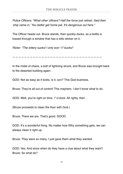*Police Officers: "What other officers? Half the force just retired. Said their 'ship came in.' You better get home pal. It's dangerous out here."*

The Officer heads out. Bruce stands, then quickly ducks, as a bottle is tossed through a window that has a lotto sticker on it.

*Rioter: "The lottery sucks! I only won 17 bucks!"*

———————————————————————————————

In the midst of chaos, a bolt of lightning struck, and Bruce was brought back to the deserted building again.

GOD: Not as easy as it looks, is it, son? This God business.

Bruce: They're all out of control! This mayhem, I don't know what to do.

GOD: Well, you're right on time. 7 o'clock. All righty, then.

(Bruce proceeds to clean the floor with God.)

Bruce: There we are. That's good. GOOD.

GOD: It's a wonderful thing. No matter how filthy something gets, we can always clean it right up.

Bruce: They were so many. I just gave them what they wanted.

GOD: Yes. And since when do they have a clue about what they want? Bruce: So what do?

16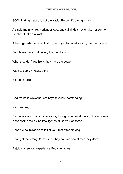GOD: Parting a soup is not a miracle, Bruce. It's a magic trick.

A single mom, who's working 2 jobs, and still finds time to take her son to practice, that's a miracle.

A teenager who says no to drugs and yes to an education, that's a miracle.

People want me to do everything for them.

What they don't realize is they have the power.

Want to see a miracle, son?

Be the miracle.

———————————————————————————————

God works in ways that are beyond our understanding.

You can pray…

But understand that your requests, through your small view of this universe, is far behind the divine intelligence of God's plan for you.

Don't expect miracles to fall at your feet after praying.

Don't get me wrong. Sometimes they do, and sometimes they don't.

Rejoice when you experience Godly miracles…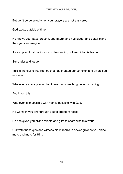But don't be dejected when your prayers are not answered.

God exists outside of time.

He knows your past, present, and future, and has bigger and better plans than you can imagine.

As you pray, trust not in your understanding but lean into his leading.

Surrender and let go.

This is the divine intelligence that has created our complex and diversified universe.

Whatever you are praying for, know that something better is coming.

And know this…

Whatever is impossible with man is possible with God.

He works in you and through you to create miracles.

He has given you divine talents and gifts to share with this world…

Cultivate these gifts and witness his miraculous power grow as you shine more and more for Him.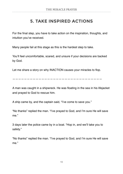### **5. TAKE INSPIRED ACTIONS**

For the final step, you have to take action on the inspiration, thoughts, and intuition you've received.

Many people fail at this stage as this is the hardest step to take.

You'll feel uncomfortable, scared, and unsure if your decisions are backed by God.

Let me share a story on why INACTION causes your miracles to flop.

———————————————————————————————

A man was caught in a shipwreck. He was floating in the sea in his lifejacket and prayed to God to rescue him.

A ship came by, and the captain said, "I've come to save you."

"No thanks" replied the man. "I've prayed to God, and I'm sure He will save me."

3 days later the police came by in a boat. "Hop in, and we'll take you to safety."

"No thanks" replied the man. "I've prayed to God, and I'm sure He will save me."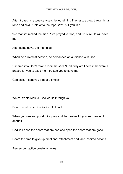After 3 days, a rescue service ship found him. The rescue crew threw him a rope and said. "Hold onto the rope. We'll pull you in."

"No thanks" replied the man. "I've prayed to God, and I'm sure He will save me."

After some days, the man died.

When he arrived at heaven, he demanded an audience with God.

Ushered into God's throne room he said, "God, why am I here in heaven? I prayed for you to save me, I trusted you to save me!"

God said, "I sent you a boat 3 times!"

———————————————————————————————

We co-create results. God works through you.

Don't just sit on an inspiration. Act on it.

When you see an opportunity, pray and then seize it if you feel peaceful about it.

God will close the doors that are bad and open the doors that are good.

Now's the time to give up emotional attachment and take inspired actions.

Remember, action create miracles.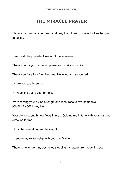#### **THE MIRACLE PRAYER**

Place your hand on your heart and pray the following prayer for life-changing miracles.

———————————————————————————————

Dear God, the powerful Creator of this universe…

Thank you for your amazing power and works in my life.

Thank you for all you've given me. I'm loved and supported.

I know you are listening.

I'm reaching out to you for help.

I'm receiving your divine strength and resources to overcome this [CHALLENGE] in my life.

Your divine strength now flows in me... Guiding me in tune with your planned direction for me.

I trust that everything will be alright.

I deepen my relationship with you, the Divine.

There is no longer any obstacles stopping my prayer from reaching you.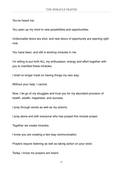You've heard me.

You open up my mind to new possibilities and opportunities.

Unfavorable doors are shut, and new doors of opportunity are opening right now.

You have been, and still is working miracles in me.

I'm willing to put forth ALL my enthusiasm, energy and effort together with you to manifest these miracles.

I shall no longer insist on having things my own way.

Without your help, I cannot.

Now, I let go of my struggles and trust you for my abundant provision of health, wealth, happiness, and success.

I pray through words as well as my actions.

I pray alone and with everyone who has prayed this miracle prayer.

Together we create miracles.

I know you are creating a two-way communication.

Prayers require listening as well as taking action on your word.

Today, I know my prayers are heard.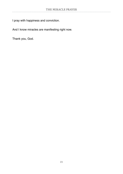I pray with happiness and conviction.

And I know miracles are manifesting right now.

Thank you, God.